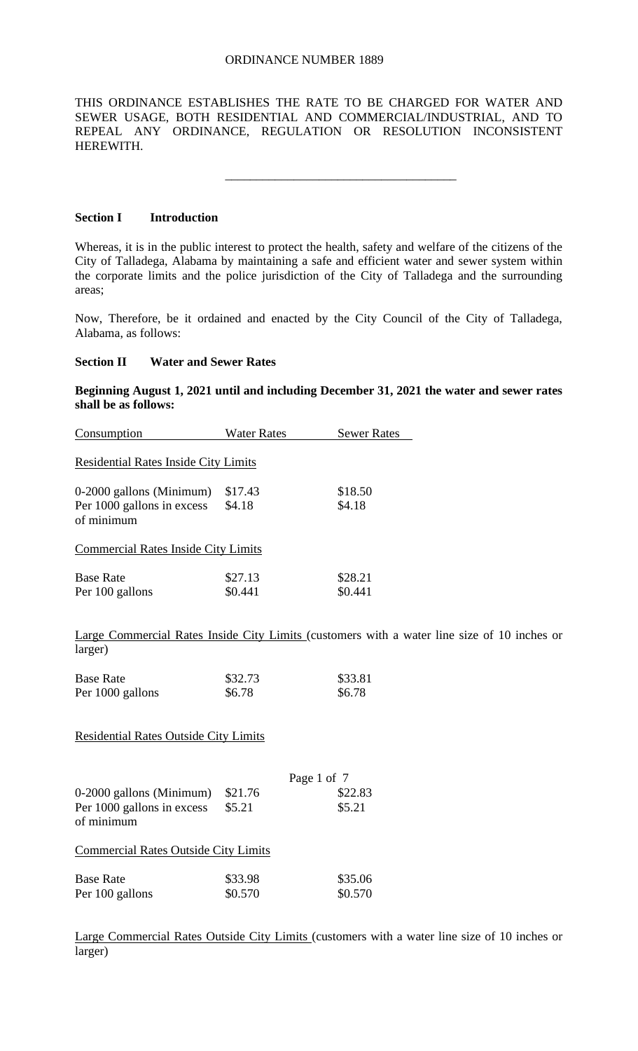THIS ORDINANCE ESTABLISHES THE RATE TO BE CHARGED FOR WATER AND SEWER USAGE, BOTH RESIDENTIAL AND COMMERCIAL/INDUSTRIAL, AND TO REPEAL ANY ORDINANCE, REGULATION OR RESOLUTION INCONSISTENT HEREWITH.

\_\_\_\_\_\_\_\_\_\_\_\_\_\_\_\_\_\_\_\_\_\_\_\_\_\_\_\_\_\_\_\_\_\_\_\_\_

### **Section I Introduction**

Whereas, it is in the public interest to protect the health, safety and welfare of the citizens of the City of Talladega, Alabama by maintaining a safe and efficient water and sewer system within the corporate limits and the police jurisdiction of the City of Talladega and the surrounding areas;

Now, Therefore, be it ordained and enacted by the City Council of the City of Talladega, Alabama, as follows:

## **Section II Water and Sewer Rates**

**Beginning August 1, 2021 until and including December 31, 2021 the water and sewer rates shall be as follows:**

| Consumption                                 | <b>Water Rates</b> | <b>Sewer Rates</b> |  |
|---------------------------------------------|--------------------|--------------------|--|
| <b>Residential Rates Inside City Limits</b> |                    |                    |  |
| 0-2000 gallons (Minimum)                    | \$17.43            | \$18.50            |  |
| Per 1000 gallons in excess                  | \$4.18             | \$4.18             |  |
| of minimum                                  |                    |                    |  |
| <b>Commercial Rates Inside City Limits</b>  |                    |                    |  |
| <b>Base Rate</b>                            | \$27.13            | \$28.21            |  |
| Per 100 gallons                             | \$0.441            | \$0.441            |  |

Large Commercial Rates Inside City Limits (customers with a water line size of 10 inches or larger)

| <b>Base Rate</b> | \$32.73 | \$33.81 |
|------------------|---------|---------|
| Per 1000 gallons | \$6.78  | \$6.78  |

Residential Rates Outside City Limits

| 0-2000 gallons (Minimum)<br>Per 1000 gallons in excess<br>of minimum | \$21.76<br>\$5.21  | Page 1 of 7<br>\$22.83<br>\$5.21 |
|----------------------------------------------------------------------|--------------------|----------------------------------|
| <b>Commercial Rates Outside City Limits</b>                          |                    |                                  |
| <b>Base Rate</b><br>Per 100 gallons                                  | \$33.98<br>\$0.570 | \$35.06<br>\$0.570               |

Large Commercial Rates Outside City Limits (customers with a water line size of 10 inches or larger)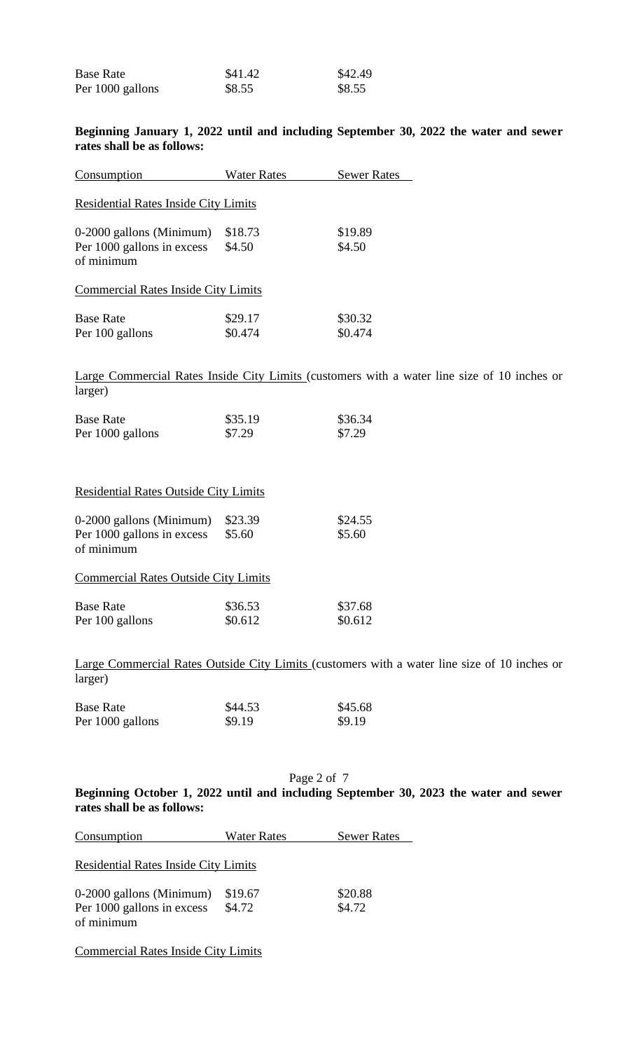| <b>Base Rate</b> | \$41.42 | \$42.49 |
|------------------|---------|---------|
| Per 1000 gallons | \$8.55  | \$8.55  |

### **Beginning January 1, 2022 until and including September 30, 2022 the water and sewer rates shall be as follows:**

| Consumption                                                                                                                                                                                                                                                                                      | <b>Water Rates</b> | <b>Sewer Rates</b> |
|--------------------------------------------------------------------------------------------------------------------------------------------------------------------------------------------------------------------------------------------------------------------------------------------------|--------------------|--------------------|
| <b>Residential Rates Inside City Limits</b>                                                                                                                                                                                                                                                      |                    |                    |
| 0-2000 gallons (Minimum)                                                                                                                                                                                                                                                                         | \$18.73            | \$19.89            |
| Per 1000 gallons in excess                                                                                                                                                                                                                                                                       | \$4.50             | \$4.50             |
| of minimum                                                                                                                                                                                                                                                                                       |                    |                    |
| <b>Commercial Rates Inside City Limits</b>                                                                                                                                                                                                                                                       |                    |                    |
| <b>Base Rate</b>                                                                                                                                                                                                                                                                                 | \$29.17            | \$30.32            |
| Per 100 gallons                                                                                                                                                                                                                                                                                  | \$0.474            | \$0.474            |
|                                                                                                                                                                                                                                                                                                  |                    |                    |
| $\mathbf{I}$ and $\mathbf{I}$ and $\mathbf{I}$ and $\mathbf{I}$ and $\mathbf{I}$ and $\mathbf{I}$ and $\mathbf{I}$ and $\mathbf{I}$ and $\mathbf{I}$ and $\mathbf{I}$ and $\mathbf{I}$ and $\mathbf{I}$ and $\mathbf{I}$ and $\mathbf{I}$ and $\mathbf{I}$ and $\mathbf{I}$ and $\mathbf{I}$ and |                    |                    |

Large Commercial Rates Inside City Limits (customers with a water line size of 10 inches or larger)

| <b>Base Rate</b> | \$35.19 | \$36.34 |
|------------------|---------|---------|
| Per 1000 gallons | \$7.29  | \$7.29  |

## Residential Rates Outside City Limits

| 0-2000 gallons (Minimum)<br>Per 1000 gallons in excess<br>of minimum | \$23.39<br>\$5.60  | \$24.55<br>\$5.60  |
|----------------------------------------------------------------------|--------------------|--------------------|
| <b>Commercial Rates Outside City Limits</b>                          |                    |                    |
| <b>Base Rate</b><br>Per 100 gallons                                  | \$36.53<br>\$0.612 | \$37.68<br>\$0.612 |

Large Commercial Rates Outside City Limits (customers with a water line size of 10 inches or larger)

| <b>Base Rate</b> | \$44.53 | \$45.68 |
|------------------|---------|---------|
| Per 1000 gallons | \$9.19  | \$9.19  |

Page 2 of 7

**Beginning October 1, 2022 until and including September 30, 2023 the water and sewer rates shall be as follows:**

| Consumption                                 | <b>Water Rates</b> | <b>Sewer Rates</b> |
|---------------------------------------------|--------------------|--------------------|
| <b>Residential Rates Inside City Limits</b> |                    |                    |
| 0-2000 gallons (Minimum)                    | \$19.67            | \$20.88            |
| Per 1000 gallons in excess                  | \$4.72             | \$4.72             |
| of minimum                                  |                    |                    |
|                                             |                    |                    |

Commercial Rates Inside City Limits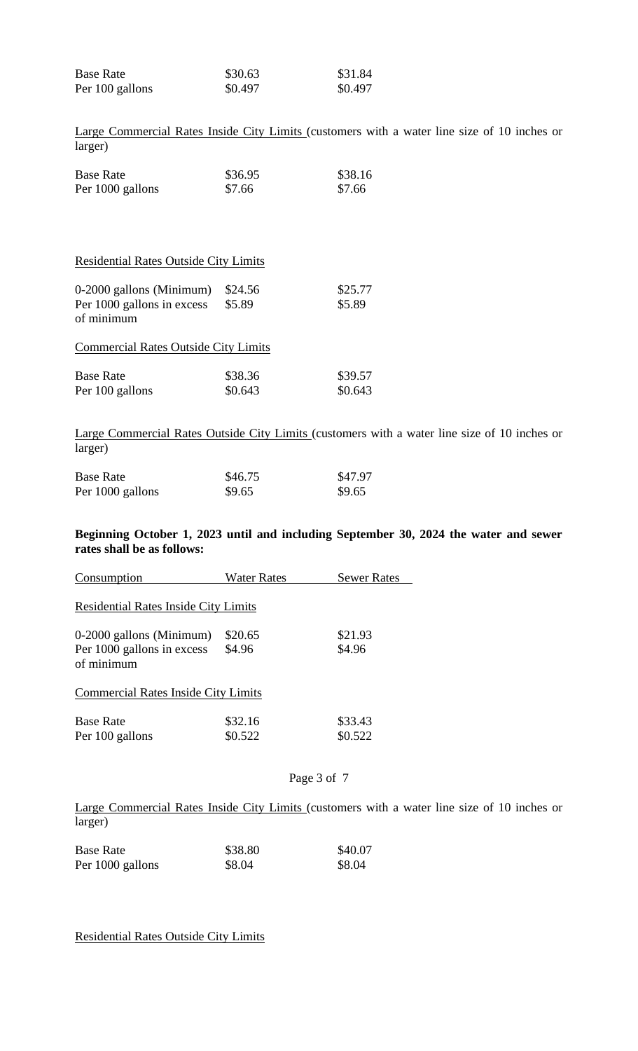| <b>Base Rate</b> | \$30.63 | \$31.84 |
|------------------|---------|---------|
| Per 100 gallons  | \$0.497 | \$0.497 |

Large Commercial Rates Inside City Limits (customers with a water line size of 10 inches or larger)

| <b>Base Rate</b> | \$36.95 | \$38.16 |
|------------------|---------|---------|
| Per 1000 gallons | \$7.66  | \$7.66  |

# Residential Rates Outside City Limits

| 0-2000 gallons (Minimum)<br>Per 1000 gallons in excess<br>of minimum | \$24.56<br>\$5.89  | \$25.77<br>\$5.89  |
|----------------------------------------------------------------------|--------------------|--------------------|
| <b>Commercial Rates Outside City Limits</b>                          |                    |                    |
| <b>Base Rate</b><br>Per 100 gallons                                  | \$38.36<br>\$0.643 | \$39.57<br>\$0.643 |

Large Commercial Rates Outside City Limits (customers with a water line size of 10 inches or larger)

| <b>Base Rate</b> | \$46.75 | \$47.97 |
|------------------|---------|---------|
| Per 1000 gallons | \$9.65  | \$9.65  |

#### **Beginning October 1, 2023 until and including September 30, 2024 the water and sewer rates shall be as follows:**

| Consumption                                 | <b>Water Rates</b> | <b>Sewer Rates</b> |  |  |
|---------------------------------------------|--------------------|--------------------|--|--|
| <b>Residential Rates Inside City Limits</b> |                    |                    |  |  |
| 0-2000 gallons (Minimum)                    | \$20.65            | \$21.93            |  |  |
| Per 1000 gallons in excess<br>of minimum    | \$4.96             | \$4.96             |  |  |
| <b>Commercial Rates Inside City Limits</b>  |                    |                    |  |  |
| <b>Base Rate</b>                            | \$32.16            | \$33.43            |  |  |
| Per 100 gallons                             | \$0.522            | \$0.522            |  |  |

### Page 3 of 7

Large Commercial Rates Inside City Limits (customers with a water line size of 10 inches or larger)

| <b>Base Rate</b> | \$38.80 | \$40.07 |
|------------------|---------|---------|
| Per 1000 gallons | \$8.04  | \$8.04  |

Residential Rates Outside City Limits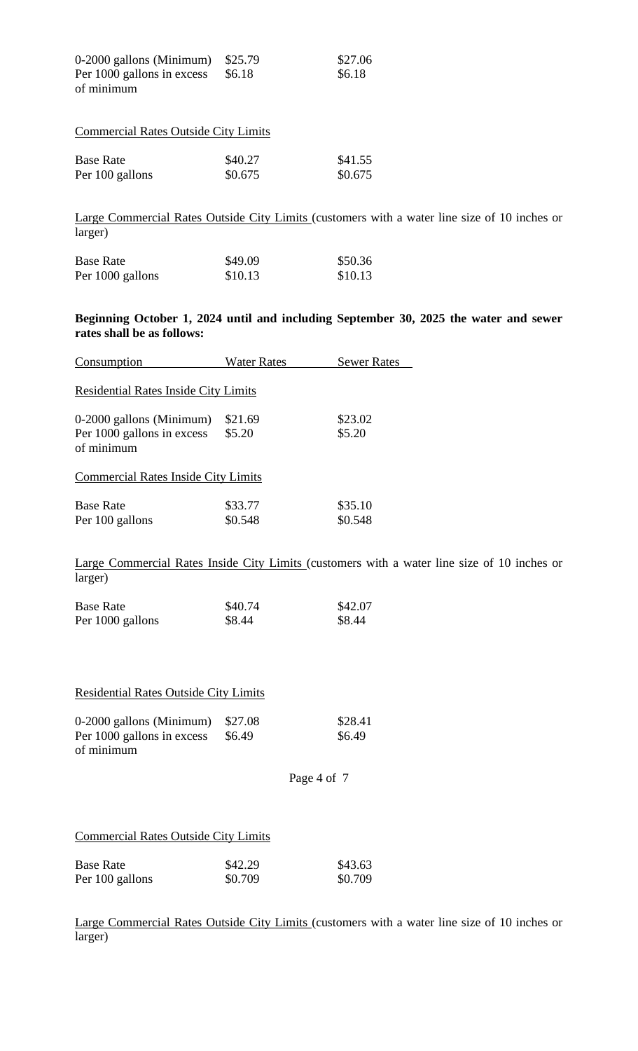| $0-2000$ gallons (Minimum) \$25.79 |        | \$27.06 |
|------------------------------------|--------|---------|
| Per 1000 gallons in excess         | \$6.18 | \$6.18  |
| of minimum                         |        |         |

| <b>Commercial Rates Outside City Limits</b> |         |         |  |
|---------------------------------------------|---------|---------|--|
| <b>Base Rate</b>                            | \$40.27 | \$41.55 |  |
| Per 100 gallons                             | \$0.675 | \$0.675 |  |

Large Commercial Rates Outside City Limits (customers with a water line size of 10 inches or larger)

| <b>Base Rate</b> | \$49.09 | \$50.36 |
|------------------|---------|---------|
| Per 1000 gallons | \$10.13 | \$10.13 |

## **Beginning October 1, 2024 until and including September 30, 2025 the water and sewer rates shall be as follows:**

| Consumption                                 | <b>Water Rates</b> | <b>Sewer Rates</b> |  |  |
|---------------------------------------------|--------------------|--------------------|--|--|
| <b>Residential Rates Inside City Limits</b> |                    |                    |  |  |
| 0-2000 gallons (Minimum)                    | \$21.69            | \$23.02            |  |  |
| Per 1000 gallons in excess                  | \$5.20             | \$5.20             |  |  |
| of minimum                                  |                    |                    |  |  |
| <b>Commercial Rates Inside City Limits</b>  |                    |                    |  |  |
| <b>Base Rate</b>                            | \$33.77            | \$35.10            |  |  |
| Per 100 gallons                             | \$0.548            | \$0.548            |  |  |

Large Commercial Rates Inside City Limits (customers with a water line size of 10 inches or larger)

| <b>Base Rate</b> | \$40.74 | \$42.07 |
|------------------|---------|---------|
| Per 1000 gallons | \$8.44  | \$8.44  |

| <b>Residential Rates Outside City Limits</b> |  |  |
|----------------------------------------------|--|--|
|                                              |  |  |

| $0-2000$ gallons (Minimum) | \$27.08 | \$28.41 |
|----------------------------|---------|---------|
| Per 1000 gallons in excess | \$6.49  | \$6.49  |
| of minimum                 |         |         |

```
Page 4 of 7
```
## Commercial Rates Outside City Limits

| <b>Base Rate</b> | \$42.29 | \$43.63 |
|------------------|---------|---------|
|                  |         |         |
| Per 100 gallons  | \$0.709 | \$0.709 |

Large Commercial Rates Outside City Limits (customers with a water line size of 10 inches or larger)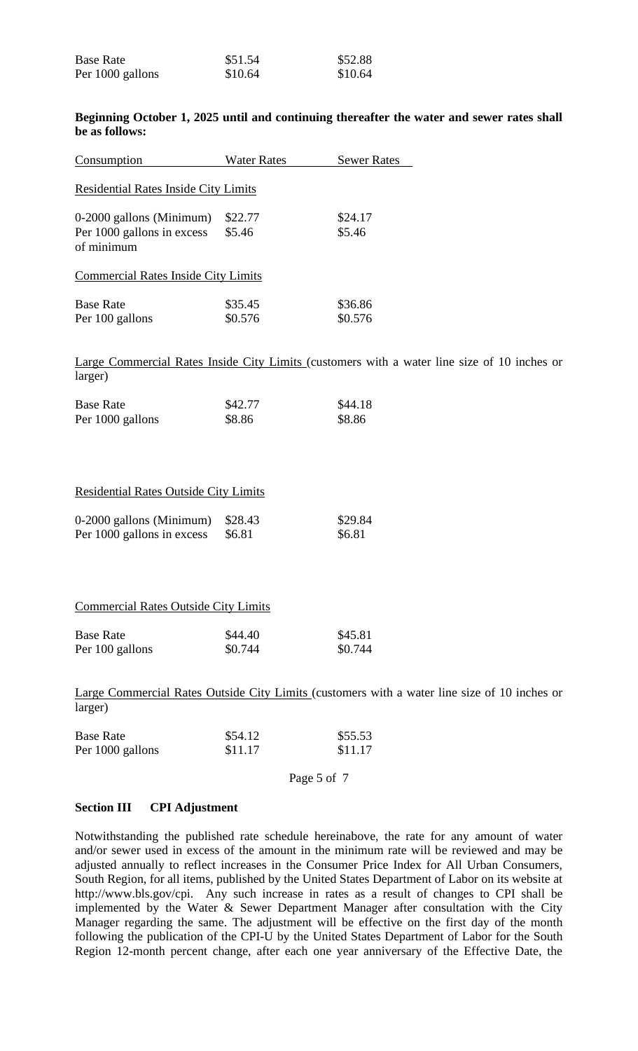| <b>Base Rate</b> | \$51.54 | \$52.88 |
|------------------|---------|---------|
| Per 1000 gallons | \$10.64 | \$10.64 |

## **Beginning October 1, 2025 until and continuing thereafter the water and sewer rates shall be as follows:**

| Consumption                                                     | <b>Water Rates</b> | <b>Sewer Rates</b> |
|-----------------------------------------------------------------|--------------------|--------------------|
| <b>Residential Rates Inside City Limits</b>                     |                    |                    |
| 0-2000 gallons (Minimum)                                        | \$22.77            | \$24.17            |
| Per 1000 gallons in excess<br>of minimum                        | \$5.46             | \$5.46             |
| <b>Commercial Rates Inside City Limits</b>                      |                    |                    |
| <b>Base Rate</b>                                                | \$35.45            | \$36.86            |
| Per 100 gallons                                                 | \$0.576            | \$0.576            |
|                                                                 |                    |                    |
| Large Commercial Rates Inside City Limits (customers with a way |                    |                    |
| lərrər                                                          |                    |                    |

ater line size of 10 inches or larger)

| <b>Base Rate</b> | \$42.77 | \$44.18 |
|------------------|---------|---------|
| Per 1000 gallons | \$8.86  | \$8.86  |

#### Residential Rates Outside City Limits

| $0-2000$ gallons (Minimum) $$28.43$ |        | \$29.84 |
|-------------------------------------|--------|---------|
| Per 1000 gallons in excess          | \$6.81 | \$6.81  |

#### Commercial Rates Outside City Limits

| <b>Base Rate</b> | \$44.40 | \$45.81 |
|------------------|---------|---------|
| Per 100 gallons  | \$0.744 | \$0.744 |

Large Commercial Rates Outside City Limits (customers with a water line size of 10 inches or larger)

| <b>Base Rate</b> | \$54.12 | \$55.53 |
|------------------|---------|---------|
| Per 1000 gallons | \$11.17 | \$11.17 |

Page 5 of 7

## **Section III CPI Adjustment**

Notwithstanding the published rate schedule hereinabove, the rate for any amount of water and/or sewer used in excess of the amount in the minimum rate will be reviewed and may be adjusted annually to reflect increases in the Consumer Price Index for All Urban Consumers, South Region, for all items, published by the United States Department of Labor on its website at http://www.bls.gov/cpi. Any such increase in rates as a result of changes to CPI shall be implemented by the Water & Sewer Department Manager after consultation with the City Manager regarding the same. The adjustment will be effective on the first day of the month following the publication of the CPI-U by the United States Department of Labor for the South Region 12-month percent change, after each one year anniversary of the Effective Date, the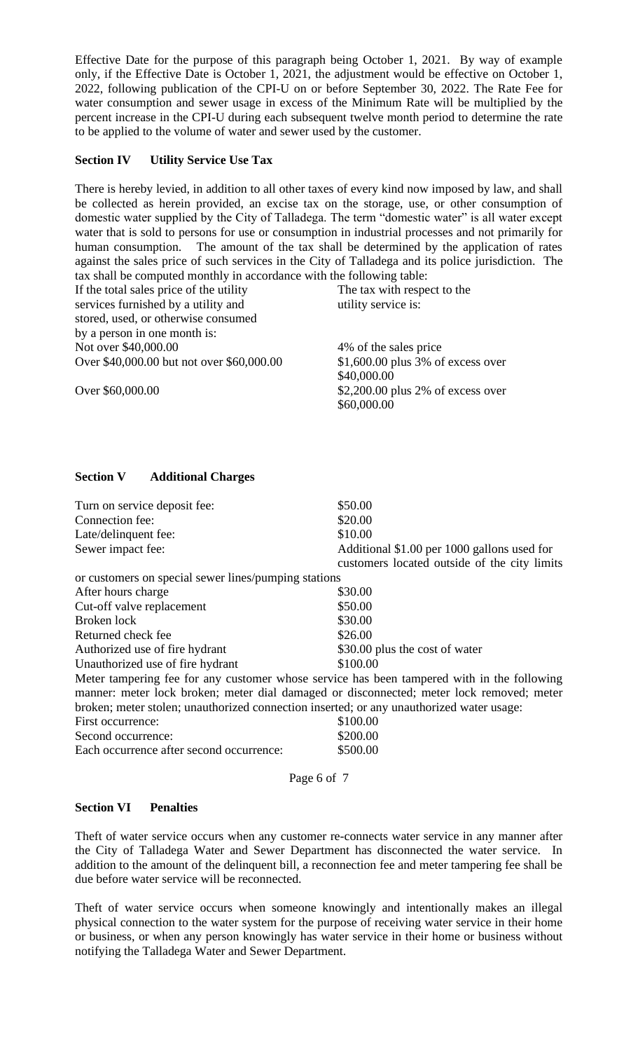Effective Date for the purpose of this paragraph being October 1, 2021. By way of example only, if the Effective Date is October 1, 2021, the adjustment would be effective on October 1, 2022, following publication of the CPI-U on or before September 30, 2022. The Rate Fee for water consumption and sewer usage in excess of the Minimum Rate will be multiplied by the percent increase in the CPI-U during each subsequent twelve month period to determine the rate to be applied to the volume of water and sewer used by the customer.

## **Section IV Utility Service Use Tax**

There is hereby levied, in addition to all other taxes of every kind now imposed by law, and shall be collected as herein provided, an excise tax on the storage, use, or other consumption of domestic water supplied by the City of Talladega. The term "domestic water" is all water except water that is sold to persons for use or consumption in industrial processes and not primarily for human consumption. The amount of the tax shall be determined by the application of rates against the sales price of such services in the City of Talladega and its police jurisdiction. The tax shall be computed monthly in accordance with the following table:

| If the total sales price of the utility   | The tax with respect to the        |
|-------------------------------------------|------------------------------------|
| services furnished by a utility and       | utility service is:                |
| stored, used, or otherwise consumed       |                                    |
| by a person in one month is:              |                                    |
| Not over \$40,000.00                      | 4% of the sales price              |
| Over \$40,000.00 but not over \$60,000.00 | $$1,600.00$ plus 3% of excess over |
|                                           | \$40,000.00                        |
| Over \$60,000.00                          | $$2,200.00$ plus 2% of excess over |
|                                           | \$60,000.00                        |

# **Section V Additional Charges**

| Turn on service deposit fee:                                                             | \$50.00                                                                                     |
|------------------------------------------------------------------------------------------|---------------------------------------------------------------------------------------------|
| Connection fee:                                                                          | \$20.00                                                                                     |
| Late/delinquent fee:                                                                     | \$10.00                                                                                     |
| Sewer impact fee:                                                                        | Additional \$1.00 per 1000 gallons used for<br>customers located outside of the city limits |
| or customers on special sewer lines/pumping stations                                     |                                                                                             |
| After hours charge                                                                       | \$30.00                                                                                     |
| Cut-off valve replacement                                                                | \$50.00                                                                                     |
| Broken lock                                                                              | \$30.00                                                                                     |
| Returned check fee                                                                       | \$26.00                                                                                     |
| Authorized use of fire hydrant                                                           | \$30.00 plus the cost of water                                                              |
| Unauthorized use of fire hydrant                                                         | \$100.00                                                                                    |
|                                                                                          | Meter tampering fee for any customer whose service has been tampered with in the following  |
|                                                                                          | manner: meter lock broken; meter dial damaged or disconnected; meter lock removed; meter    |
| broken; meter stolen; unauthorized connection inserted; or any unauthorized water usage: |                                                                                             |
| First occurrence:                                                                        | \$100.00                                                                                    |
| Second occurrence:                                                                       | \$200.00                                                                                    |
| Each occurrence after second occurrence:                                                 | \$500.00                                                                                    |

Page 6 of 7

## **Section VI Penalties**

Theft of water service occurs when any customer re-connects water service in any manner after the City of Talladega Water and Sewer Department has disconnected the water service. In addition to the amount of the delinquent bill, a reconnection fee and meter tampering fee shall be due before water service will be reconnected.

Theft of water service occurs when someone knowingly and intentionally makes an illegal physical connection to the water system for the purpose of receiving water service in their home or business, or when any person knowingly has water service in their home or business without notifying the Talladega Water and Sewer Department.